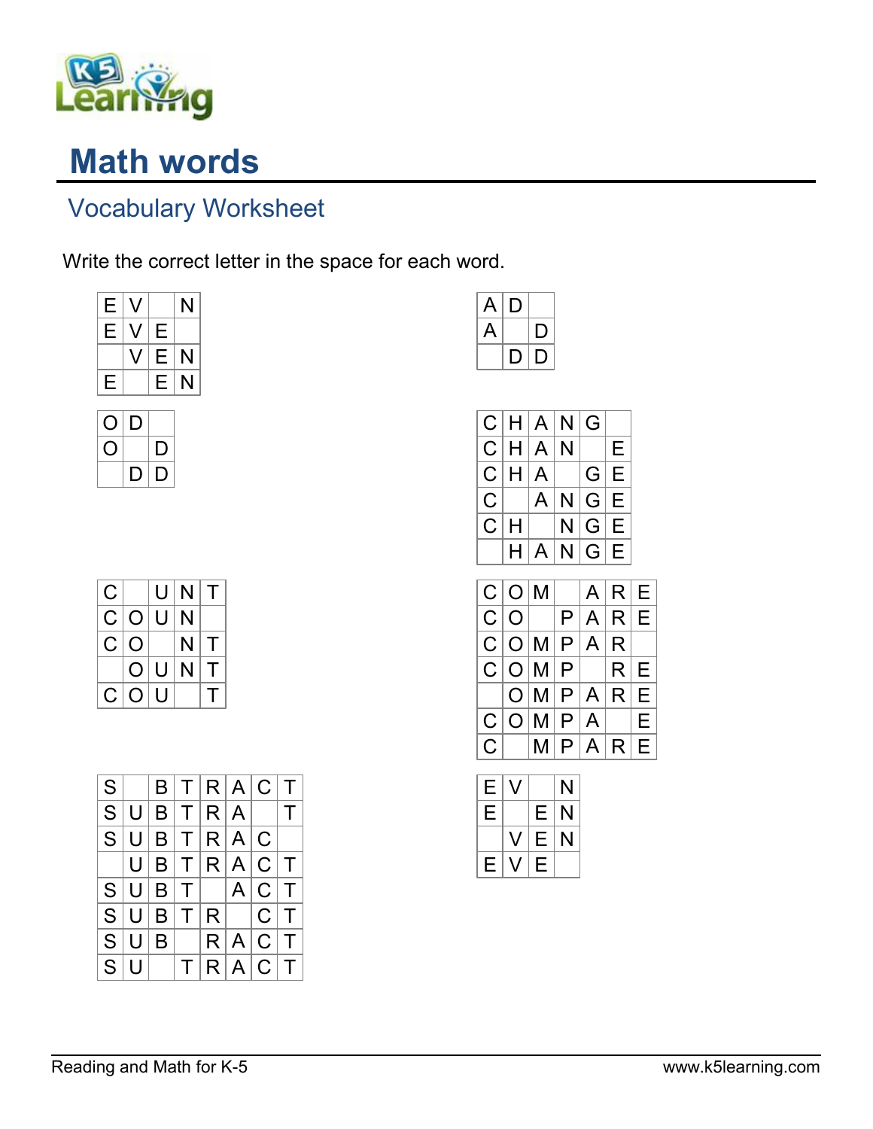

## Math words

## Vocabulary Worksheet

Write the correct letter in the space for each word.

| Е | 7 | Е |   |
|---|---|---|---|
|   |   |   |   |
|   |   | Е | N |
| Е |   | Е | N |



| С  |   | U | $\mathsf{N}$ | т |
|----|---|---|--------------|---|
| C. | O | U | N            |   |
| C. | O |   | N            | т |
|    | O | U | N            | т |
| C. | O | U |              |   |

| S         |     |   |              |  | B T R A C T         |        |
|-----------|-----|---|--------------|--|---------------------|--------|
|           | S U |   | B[T R A      |  |                     | $\top$ |
|           |     |   |              |  | S U B T R A C       |        |
|           |     |   |              |  | U B T R A C T       |        |
|           |     |   |              |  | $S U B T $ $ A C T$ |        |
|           | S U |   |              |  | $ B T R $ $ C T$    |        |
| S U       |     | B |              |  | R A C T             |        |
| $S \vert$ |     |   | $\mathsf{T}$ |  | R A C T             |        |

| A                | Ļ |  |
|------------------|---|--|
| $\blacktriangle$ |   |  |
|                  |   |  |

|              |   | C H A N G |         |   |
|--------------|---|-----------|---------|---|
|              |   | C H A N   |         | Е |
|              |   | C H A     | G E     |   |
| $C \mid$     |   | A         | N G E   |   |
| $\mathsf{C}$ | H |           | N G E   |   |
|              | Н |           | A N G E |   |

|     |  | $C O M $ $ A R E$                                             |    |
|-----|--|---------------------------------------------------------------|----|
| C O |  | P A R E                                                       |    |
|     |  | C O M P A R                                                   |    |
|     |  | C[O M P   R E                                                 |    |
|     |  | O M P A R E                                                   |    |
|     |  | C O M P A                                                     | ΙE |
|     |  | $C$ $ \mathsf{M} \mathsf{P} \mathsf{A} \mathsf{R} \mathsf{E}$ |    |

| Е |   |   | N |
|---|---|---|---|
| Е |   | Е | N |
|   | V | Е | N |
| Е |   | Ε |   |